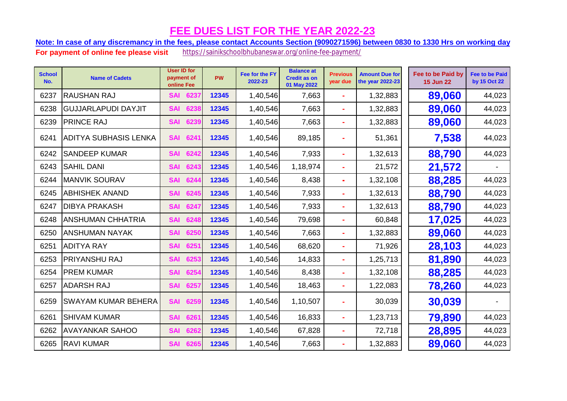Note: In case of any discremancy in the fees, please contact Accounts Section (9090271596) between 0830 to 1330 Hrs on working day

| <b>School</b><br>No. | <b>Name of Cadets</b>        | <b>User ID for</b><br>payment of<br>online Fee | <b>PW</b> | Fee for the FY<br>2022-23 | <b>Balance at</b><br><b>Credit as on</b><br>01 May 2022 | <b>Previous</b><br>year due | <b>Amount Due for</b><br>the year 2022-23 | Fee to be Paid by<br><b>15 Jun 22</b> | <b>Fee to be Paid</b><br>by 15 Oct 22 |
|----------------------|------------------------------|------------------------------------------------|-----------|---------------------------|---------------------------------------------------------|-----------------------------|-------------------------------------------|---------------------------------------|---------------------------------------|
| 6237                 | <b>RAUSHAN RAJ</b>           | 6237<br><b>SAI</b>                             | 12345     | 1,40,546                  | 7,663                                                   | ÷                           | 1,32,883                                  | 89,060                                | 44,023                                |
| 6238                 | <b>GUJJARLAPUDI DAYJIT</b>   | 6238<br><b>SAI</b>                             | 12345     | 1,40,546                  | 7,663                                                   |                             | 1,32,883                                  | 89,060                                | 44,023                                |
| 6239                 | <b>PRINCE RAJ</b>            | 6239<br><b>SAI</b>                             | 12345     | 1,40,546                  | 7,663                                                   | ۰                           | 1,32,883                                  | 89,060                                | 44,023                                |
| 6241                 | <b>ADITYA SUBHASIS LENKA</b> | 6241<br><b>SAI</b>                             | 12345     | 1,40,546                  | 89,185                                                  | $\blacksquare$              | 51,361                                    | 7,538                                 | 44,023                                |
| 6242                 | <b>SANDEEP KUMAR</b>         | 6242<br><b>SAI</b>                             | 12345     | 1,40,546                  | 7,933                                                   | $\blacksquare$              | 1,32,613                                  | 88,790                                | 44,023                                |
| 6243                 | <b>SAHIL DANI</b>            | 6243<br><b>SAI</b>                             | 12345     | 1,40,546                  | 1,18,974                                                | ÷                           | 21,572                                    | 21,572                                |                                       |
| 6244                 | <b>MANVIK SOURAV</b>         | 6244<br><b>SAI</b>                             | 12345     | 1,40,546                  | 8,438                                                   | $\blacksquare$              | 1,32,108                                  | 88,285                                | 44,023                                |
| 6245                 | <b>ABHISHEK ANAND</b>        | 6245<br><b>SAI</b>                             | 12345     | 1,40,546                  | 7,933                                                   | ÷                           | 1,32,613                                  | 88,790                                | 44,023                                |
| 6247                 | <b>DIBYA PRAKASH</b>         | 6247<br><b>SAI</b>                             | 12345     | 1,40,546                  | 7,933                                                   | $\blacksquare$              | 1,32,613                                  | 88,790                                | 44,023                                |
| 6248                 | <b>ANSHUMAN CHHATRIA</b>     | 6248<br><b>SAI</b>                             | 12345     | 1,40,546                  | 79,698                                                  | $\blacksquare$              | 60,848                                    | 17,025                                | 44,023                                |
| 6250                 | <b>ANSHUMAN NAYAK</b>        | <b>SAI</b><br>6250                             | 12345     | 1,40,546                  | 7,663                                                   | $\blacksquare$              | 1,32,883                                  | 89,060                                | 44,023                                |
| 6251                 | <b>ADITYA RAY</b>            | 6251<br><b>SAI</b>                             | 12345     | 1,40,546                  | 68,620                                                  | $\blacksquare$              | 71,926                                    | 28,103                                | 44,023                                |
| 6253                 | <b>PRIYANSHU RAJ</b>         | 6253<br><b>SAI</b>                             | 12345     | 1,40,546                  | 14,833                                                  | ÷                           | 1,25,713                                  | 81,890                                | 44,023                                |
| 6254                 | <b>PREM KUMAR</b>            | 6254<br><b>SAI</b>                             | 12345     | 1,40,546                  | 8,438                                                   | $\blacksquare$              | 1,32,108                                  | 88,285                                | 44,023                                |
| 6257                 | <b>ADARSH RAJ</b>            | <b>SAI</b><br>6257                             | 12345     | 1,40,546                  | 18,463                                                  | ٠                           | 1,22,083                                  | 78,260                                | 44,023                                |
| 6259                 | <b>SWAYAM KUMAR BEHERA</b>   | 6259<br><b>SAI</b>                             | 12345     | 1,40,546                  | 1,10,507                                                | ÷                           | 30,039                                    | 30,039                                |                                       |
| 6261                 | <b>SHIVAM KUMAR</b>          | 6261<br><b>SAI</b>                             | 12345     | 1,40,546                  | 16,833                                                  | $\blacksquare$              | 1,23,713                                  | 79,890                                | 44,023                                |
| 6262                 | <b>AVAYANKAR SAHOO</b>       | 6262<br><b>SAI</b>                             | 12345     | 1,40,546                  | 67,828                                                  | $\blacksquare$              | 72,718                                    | 28,895                                | 44,023                                |
| 6265                 | <b>RAVI KUMAR</b>            | 6265<br><b>SAI</b>                             | 12345     | 1,40,546                  | 7,663                                                   |                             | 1,32,883                                  | 89,060                                | 44,023                                |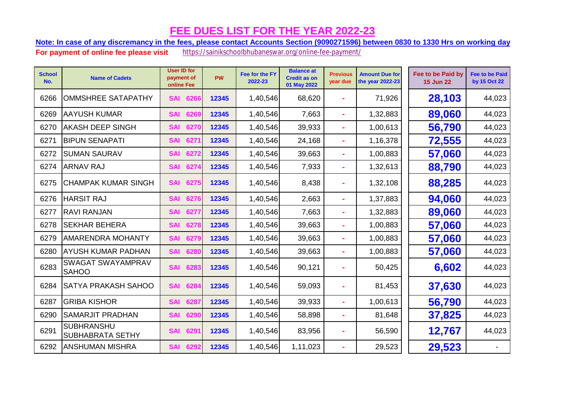Note: In case of any discremancy in the fees, please contact Accounts Section (9090271596) between 0830 to 1330 Hrs on working day

| <b>School</b><br>No. | <b>Name of Cadets</b>                        | <b>User ID for</b><br>payment of<br>online Fee | <b>PW</b> | Fee for the FY<br>2022-23 | <b>Balance at</b><br><b>Credit as on</b><br>01 May 2022 | <b>Previous</b><br>year due | <b>Amount Due for</b><br>the year 2022-23 | Fee to be Paid by<br><b>15 Jun 22</b> | <b>Fee to be Paid</b><br>by 15 Oct 22 |
|----------------------|----------------------------------------------|------------------------------------------------|-----------|---------------------------|---------------------------------------------------------|-----------------------------|-------------------------------------------|---------------------------------------|---------------------------------------|
| 6266                 | <b>OMMSHREE SATAPATHY</b>                    | <b>SAI</b><br>6266                             | 12345     | 1,40,546                  | 68,620                                                  | $\blacksquare$              | 71,926                                    | 28,103                                | 44,023                                |
| 6269                 | <b>AAYUSH KUMAR</b>                          | <b>SAI</b><br>6269                             | 12345     | 1,40,546                  | 7,663                                                   | $\blacksquare$              | 1,32,883                                  | 89,060                                | 44,023                                |
| 6270                 | IAKASH DEEP SINGH                            | 6270<br><b>SAI</b>                             | 12345     | 1,40,546                  | 39,933                                                  | $\blacksquare$              | 1,00,613                                  | 56,790                                | 44,023                                |
| 6271                 | <b>BIPUN SENAPATI</b>                        | 627<br><b>SAI</b>                              | 12345     | 1,40,546                  | 24,168                                                  | $\blacksquare$              | 1,16,378                                  | 72,555                                | 44,023                                |
| 6272                 | <b>SUMAN SAURAV</b>                          | 627<br><b>SAI</b>                              | 12345     | 1,40,546                  | 39,663                                                  | $\blacksquare$              | 1,00,883                                  | 57,060                                | 44,023                                |
| 6274                 | <b>ARNAV RAJ</b>                             | 627<br><b>SAI</b>                              | 12345     | 1,40,546                  | 7,933                                                   | ۰                           | 1,32,613                                  | 88,790                                | 44,023                                |
| 6275                 | <b>CHAMPAK KUMAR SINGH</b>                   | 6275<br><b>SAI</b>                             | 12345     | 1,40,546                  | 8,438                                                   | ۰                           | 1,32,108                                  | 88,285                                | 44,023                                |
| 6276                 | <b>HARSIT RAJ</b>                            | <b>SAI</b><br>6276                             | 12345     | 1,40,546                  | 2,663                                                   | ۰                           | 1,37,883                                  | 94,060                                | 44,023                                |
| 6277                 | <b>RAVI RANJAN</b>                           | 6277<br><b>SAI</b>                             | 12345     | 1,40,546                  | 7,663                                                   | $\blacksquare$              | 1,32,883                                  | 89,060                                | 44,023                                |
| 6278                 | <b>SEKHAR BEHERA</b>                         | <b>SAI</b><br>627                              | 12345     | 1,40,546                  | 39,663                                                  | ÷                           | 1,00,883                                  | 57,060                                | 44,023                                |
| 6279                 | <b>AMARENDRA MOHANTY</b>                     | 627<br><b>SAI</b>                              | 12345     | 1,40,546                  | 39,663                                                  | $\blacksquare$              | 1,00,883                                  | 57,060                                | 44,023                                |
| 6280                 | <b>AYUSH KUMAR PADHAN</b>                    | 6280<br><b>SAI</b>                             | 12345     | 1,40,546                  | 39,663                                                  | ۰                           | 1,00,883                                  | 57,060                                | 44,023                                |
| 6283                 | <b>SWAGAT SWAYAMPRAV</b><br><b>SAHOO</b>     | 6283<br><b>SAI</b>                             | 12345     | 1,40,546                  | 90,121                                                  | ۰                           | 50,425                                    | 6,602                                 | 44,023                                |
| 6284                 | <b>SATYA PRAKASH SAHOO</b>                   | 6284<br><b>SAI</b>                             | 12345     | 1,40,546                  | 59,093                                                  |                             | 81,453                                    | 37,630                                | 44,023                                |
| 6287                 | <b>GRIBA KISHOR</b>                          | 6287<br><b>SAI</b>                             | 12345     | 1,40,546                  | 39,933                                                  | ÷,                          | 1,00,613                                  | 56,790                                | 44,023                                |
| 6290                 | <b>SAMARJIT PRADHAN</b>                      | 6290<br><b>SAI</b>                             | 12345     | 1,40,546                  | 58,898                                                  | $\blacksquare$              | 81,648                                    | 37,825                                | 44,023                                |
| 6291                 | <b>SUBHRANSHU</b><br><b>SUBHABRATA SETHY</b> | 629'<br><b>SAI</b>                             | 12345     | 1,40,546                  | 83,956                                                  |                             | 56,590                                    | 12,767                                | 44,023                                |
| 6292                 | <b>ANSHUMAN MISHRA</b>                       | 6292<br><b>SAI</b>                             | 12345     | 1,40,546                  | 1,11,023                                                |                             | 29,523                                    | 29,523                                |                                       |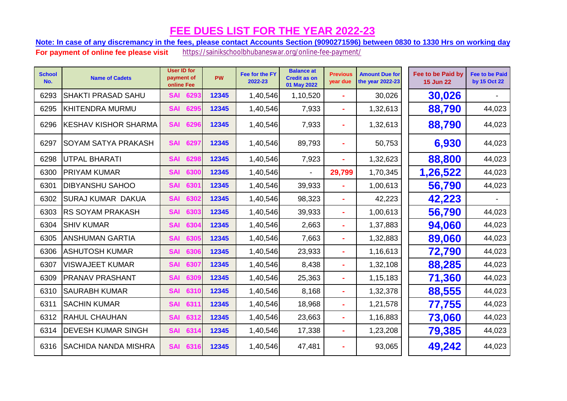Note: In case of any discremancy in the fees, please contact Accounts Section (9090271596) between 0830 to 1330 Hrs on working day

| <b>School</b><br>No. | <b>Name of Cadets</b>        | <b>User ID for</b><br>payment of<br>online Fee | <b>PW</b> | Fee for the FY<br>2022-23 | <b>Balance at</b><br><b>Credit as on</b><br>01 May 2022 | <b>Previous</b><br>vear due | <b>Amount Due for</b><br>the year 2022-23 | Fee to be Paid by<br><b>15 Jun 22</b> | <b>Fee to be Paid</b><br>by 15 Oct 22 |
|----------------------|------------------------------|------------------------------------------------|-----------|---------------------------|---------------------------------------------------------|-----------------------------|-------------------------------------------|---------------------------------------|---------------------------------------|
| 6293                 | <b>SHAKTI PRASAD SAHU</b>    | 6293<br><b>SAI</b>                             | 12345     | 1,40,546                  | 1,10,520                                                | ۰                           | 30,026                                    | 30,026                                |                                       |
| 6295                 | <b>KHITENDRA MURMU</b>       | 629<br><b>SAI</b>                              | 12345     | 1,40,546                  | 7,933                                                   | $\blacksquare$              | 1,32,613                                  | 88,790                                | 44,023                                |
| 6296                 | <b>IKESHAV KISHOR SHARMA</b> | <b>SAI</b><br>6296                             | 12345     | 1,40,546                  | 7,933                                                   |                             | 1,32,613                                  | 88,790                                | 44,023                                |
| 6297                 | <b>SOYAM SATYA PRAKASH</b>   | <b>SAI</b><br>6297                             | 12345     | 1,40,546                  | 89,793                                                  | $\blacksquare$              | 50,753                                    | 6,930                                 | 44,023                                |
| 6298                 | <b>UTPAL BHARATI</b>         | 6298<br><b>SAI</b>                             | 12345     | 1,40,546                  | 7,923                                                   | $\blacksquare$              | 1,32,623                                  | 88,800                                | 44,023                                |
| 6300                 | <b>PRIYAM KUMAR</b>          | 6300<br><b>SAI</b>                             | 12345     | 1,40,546                  |                                                         | 29,799                      | 1,70,345                                  | 1,26,522                              | 44,023                                |
| 6301                 | <b>DIBYANSHU SAHOO</b>       | <b>SAI</b><br>630'                             | 12345     | 1,40,546                  | 39,933                                                  |                             | 1,00,613                                  | 56,790                                | 44,023                                |
| 6302                 | SURAJ KUMAR DAKUA            | 6302<br><b>SAI</b>                             | 12345     | 1,40,546                  | 98,323                                                  | $\blacksquare$              | 42,223                                    | 42,223                                |                                       |
| 6303                 | <b>RS SOYAM PRAKASH</b>      | <b>SAI</b><br>6303                             | 12345     | 1,40,546                  | 39,933                                                  | ۰                           | 1,00,613                                  | 56,790                                | 44,023                                |
| 6304                 | <b>SHIV KUMAR</b>            | 6304<br><b>SAI</b>                             | 12345     | 1,40,546                  | 2,663                                                   | $\blacksquare$              | 1,37,883                                  | 94,060                                | 44,023                                |
| 6305                 | <b>ANSHUMAN GARTIA</b>       | 630<br><b>SAI</b>                              | 12345     | 1,40,546                  | 7,663                                                   | ÷,                          | 1,32,883                                  | 89,060                                | 44,023                                |
| 6306                 | ASHUTOSH KUMAR               | 6306<br><b>SAI</b>                             | 12345     | 1,40,546                  | 23,933                                                  | $\blacksquare$              | 1,16,613                                  | 72,790                                | 44,023                                |
| 6307                 | <b>VISWAJEET KUMAR</b>       | <b>SAI</b><br>6307                             | 12345     | 1,40,546                  | 8,438                                                   | $\blacksquare$              | 1,32,108                                  | 88,285                                | 44,023                                |
| 6309                 | <b>PRANAV PRASHANT</b>       | 630<br><b>SAI</b>                              | 12345     | 1,40,546                  | 25,363                                                  | ä,                          | 1,15,183                                  | 71,360                                | 44,023                                |
| 6310                 | <b>SAURABH KUMAR</b>         | 6310<br><b>SAI</b>                             | 12345     | 1,40,546                  | 8,168                                                   | $\blacksquare$              | 1,32,378                                  | 88,555                                | 44,023                                |
| 6311                 | <b>SACHIN KUMAR</b>          | 631'<br><b>SAI</b>                             | 12345     | 1,40,546                  | 18,968                                                  | ÷                           | 1,21,578                                  | 77,755                                | 44,023                                |
| 6312                 | <b>RAHUL CHAUHAN</b>         | 6312<br><b>SAI</b>                             | 12345     | 1,40,546                  | 23,663                                                  | ä,                          | 1,16,883                                  | 73,060                                | 44,023                                |
| 6314                 | <b>DEVESH KUMAR SINGH</b>    | 631<br><b>SAI</b>                              | 12345     | 1,40,546                  | 17,338                                                  | ۰                           | 1,23,208                                  | 79,385                                | 44,023                                |
| 6316                 | <b>SACHIDA NANDA MISHRA</b>  | <b>SAI</b><br>6316                             | 12345     | 1,40,546                  | 47,481                                                  | ÷                           | 93,065                                    | 49,242                                | 44,023                                |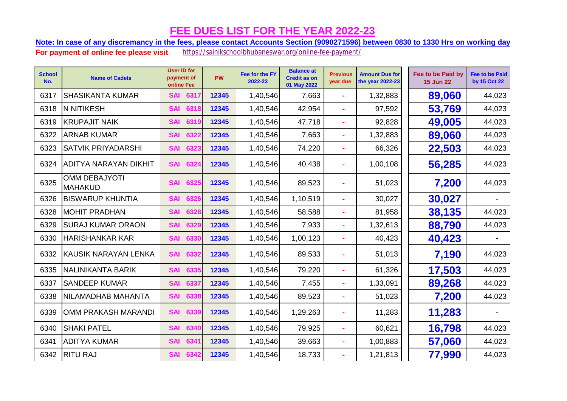Note: In case of any discremancy in the fees, please contact Accounts Section (9090271596) between 0830 to 1330 Hrs on working day

| <b>School</b><br>No. | <b>Name of Cadets</b>                  | <b>User ID for</b><br>payment of<br>online Fee | <b>PW</b> | Fee for the FY<br>2022-23 | <b>Balance at</b><br><b>Credit as on</b><br>01 May 2022 | <b>Previous</b><br>year due | <b>Amount Due for</b><br>the year 2022-23 | Fee to be Paid by<br><b>15 Jun 22</b> | <b>Fee to be Paid</b><br>by 15 Oct 22 |
|----------------------|----------------------------------------|------------------------------------------------|-----------|---------------------------|---------------------------------------------------------|-----------------------------|-------------------------------------------|---------------------------------------|---------------------------------------|
| 6317                 | <b>SHASIKANTA KUMAR</b>                | 631<br><b>SAI</b>                              | 12345     | 1,40,546                  | 7,663                                                   | $\blacksquare$              | 1,32,883                                  | 89,060                                | 44,023                                |
| 6318                 | <b>N NITIKESH</b>                      | 6318<br><b>SAI</b>                             | 12345     | 1,40,546                  | 42,954                                                  |                             | 97,592                                    | 53,769                                | 44,023                                |
| 6319                 | <b>KRUPAJIT NAIK</b>                   | 6319<br><b>SAI</b>                             | 12345     | 1,40,546                  | 47,718                                                  |                             | 92,828                                    | 49,005                                | 44,023                                |
| 6322                 | <b>ARNAB KUMAR</b>                     | <b>SAI</b><br>6322                             | 12345     | 1,40,546                  | 7,663                                                   | $\blacksquare$              | 1,32,883                                  | 89,060                                | 44,023                                |
| 6323                 | SATVIK PRIYADARSHI                     | 6323<br><b>SAI</b>                             | 12345     | 1,40,546                  | 74,220                                                  |                             | 66,326                                    | 22,503                                | 44,023                                |
| 6324                 | ADITYA NARAYAN DIKHIT                  | <b>SAI</b><br>6324                             | 12345     | 1,40,546                  | 40,438                                                  |                             | 1,00,108                                  | 56,285                                | 44,023                                |
| 6325                 | <b>OMM DEBAJYOTI</b><br><b>MAHAKUD</b> | <b>SAI</b><br>6325                             | 12345     | 1,40,546                  | 89,523                                                  |                             | 51,023                                    | 7,200                                 | 44,023                                |
| 6326                 | <b>BISWARUP KHUNTIA</b>                | <b>SAI</b><br>6326                             | 12345     | 1,40,546                  | 1,10,519                                                |                             | 30,027                                    | 30,027                                |                                       |
| 6328                 | <b>MOHIT PRADHAN</b>                   | 6328<br><b>SAI</b>                             | 12345     | 1,40,546                  | 58,588                                                  |                             | 81,958                                    | 38,135                                | 44,023                                |
| 6329                 | <b>SURAJ KUMAR ORAON</b>               | 6329<br><b>SAI</b>                             | 12345     | 1,40,546                  | 7,933                                                   | $\blacksquare$              | 1,32,613                                  | 88,790                                | 44,023                                |
| 6330                 | <b>HARISHANKAR KAR</b>                 | 6330<br><b>SAI</b>                             | 12345     | 1,40,546                  | 1,00,123                                                | ÷,                          | 40,423                                    | 40,423                                |                                       |
| 6332                 | <b>KAUSIK NARAYAN LENKA</b>            | <b>SAI</b><br>6332                             | 12345     | 1,40,546                  | 89,533                                                  |                             | 51,013                                    | 7,190                                 | 44,023                                |
| 6335                 | <b>NALINIKANTA BARIK</b>               | <b>SAI</b><br>6335                             | 12345     | 1,40,546                  | 79,220                                                  |                             | 61,326                                    | 17,503                                | 44,023                                |
| 6337                 | <b>SANDEEP KUMAR</b>                   | <b>SAI</b><br>6337                             | 12345     | 1,40,546                  | 7,455                                                   |                             | 1,33,091                                  | 89,268                                | 44,023                                |
| 6338                 | NILAMADHAB MAHANTA                     | 6338<br><b>SAI</b>                             | 12345     | 1,40,546                  | 89,523                                                  |                             | 51,023                                    | 7,200                                 | 44,023                                |
| 6339                 | OMM PRAKASH MARANDI                    | 6339<br><b>SAI</b>                             | 12345     | 1,40,546                  | 1,29,263                                                |                             | 11,283                                    | 11,283                                |                                       |
| 6340                 | <b>SHAKI PATEL</b>                     | 6340<br><b>SAI</b>                             | 12345     | 1,40,546                  | 79,925                                                  | $\blacksquare$              | 60,621                                    | 16,798                                | 44,023                                |
| 6341                 | <b>ADITYA KUMAR</b>                    | 6341<br><b>SAI</b>                             | 12345     | 1,40,546                  | 39,663                                                  | $\blacksquare$              | 1,00,883                                  | 57,060                                | 44,023                                |
| 6342                 | <b>RITU RAJ</b>                        | 6342<br><b>SAI</b>                             | 12345     | 1,40,546                  | 18,733                                                  |                             | 1,21,813                                  | 77,990                                | 44,023                                |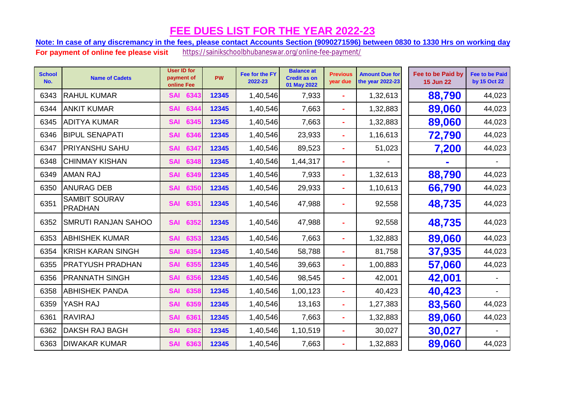Note: In case of any discremancy in the fees, please contact Accounts Section (9090271596) between 0830 to 1330 Hrs on working day

| <b>School</b><br>No. | <b>Name of Cadets</b>                  | <b>User ID for</b><br>payment of<br>online Fee | <b>PW</b> | Fee for the FY<br>2022-23 | <b>Balance at</b><br><b>Credit as on</b><br>01 May 2022 | <b>Previous</b><br>year due | <b>Amount Due for</b><br>the year 2022-23 | Fee to be Paid by<br><b>15 Jun 22</b> | <b>Fee to be Paid</b><br>by 15 Oct 22 |
|----------------------|----------------------------------------|------------------------------------------------|-----------|---------------------------|---------------------------------------------------------|-----------------------------|-------------------------------------------|---------------------------------------|---------------------------------------|
| 6343                 | <b>RAHUL KUMAR</b>                     | 6343<br><b>SAI</b>                             | 12345     | 1,40,546                  | 7,933                                                   | ä,                          | 1,32,613                                  | 88,790                                | 44,023                                |
| 6344                 | <b>ANKIT KUMAR</b>                     | 6344<br><b>SAI</b>                             | 12345     | 1,40,546                  | 7,663                                                   | $\blacksquare$              | 1,32,883                                  | 89,060                                | 44,023                                |
| 6345                 | <b>ADITYA KUMAR</b>                    | <b>SAI</b><br>6345                             | 12345     | 1,40,546                  | 7,663                                                   | ä,                          | 1,32,883                                  | 89,060                                | 44,023                                |
| 6346                 | <b>BIPUL SENAPATI</b>                  | 6346<br><b>SAI</b>                             | 12345     | 1,40,546                  | 23,933                                                  | ÷                           | 1,16,613                                  | 72,790                                | 44,023                                |
| 6347                 | <b>PRIYANSHU SAHU</b>                  | <b>SAI</b><br>6347                             | 12345     | 1,40,546                  | 89,523                                                  | ÷                           | 51,023                                    | 7,200                                 | 44,023                                |
| 6348                 | <b>CHINMAY KISHAN</b>                  | 6348<br><b>SAI</b>                             | 12345     | 1,40,546                  | 1,44,317                                                |                             |                                           |                                       |                                       |
| 6349                 | <b>AMAN RAJ</b>                        | 6349<br><b>SAI</b>                             | 12345     | 1,40,546                  | 7,933                                                   | ۰                           | 1,32,613                                  | 88,790                                | 44,023                                |
| 6350                 | <b>ANURAG DEB</b>                      | 6350<br><b>SAI</b>                             | 12345     | 1,40,546                  | 29,933                                                  | ÷                           | 1,10,613                                  | 66,790                                | 44,023                                |
| 6351                 | <b>SAMBIT SOURAV</b><br><b>PRADHAN</b> | 6351<br><b>SAI</b>                             | 12345     | 1,40,546                  | 47,988                                                  |                             | 92,558                                    | 48,735                                | 44,023                                |
| 6352                 | <b>SMRUTI RANJAN SAHOO</b>             | 6352<br><b>SAI</b>                             | 12345     | 1,40,546                  | 47,988                                                  |                             | 92,558                                    | 48,735                                | 44,023                                |
| 6353                 | <b>ABHISHEK KUMAR</b>                  | 6353<br><b>SAI</b>                             | 12345     | 1,40,546                  | 7,663                                                   | $\blacksquare$              | 1,32,883                                  | 89,060                                | 44,023                                |
| 6354                 | <b>KRISH KARAN SINGH</b>               | 6354<br><b>SAI</b>                             | 12345     | 1,40,546                  | 58,788                                                  | ÷                           | 81,758                                    | 37,935                                | 44,023                                |
| 6355                 | <b>PRATYUSH PRADHAN</b>                | 6355<br><b>SAI</b>                             | 12345     | 1,40,546                  | 39,663                                                  | ä,                          | 1,00,883                                  | 57,060                                | 44,023                                |
| 6356                 | <b>PRANNATH SINGH</b>                  | <b>SAI</b><br>6356                             | 12345     | 1,40,546                  | 98,545                                                  | ä,                          | 42,001                                    | 42,001                                |                                       |
| 6358                 | <b>ABHISHEK PANDA</b>                  | 6358<br><b>SAI</b>                             | 12345     | 1,40,546                  | 1,00,123                                                |                             | 40,423                                    | 40,423                                |                                       |
| 6359                 | YASH RAJ                               | 6359<br><b>SAI</b>                             | 12345     | 1,40,546                  | 13,163                                                  | ÷                           | 1,27,383                                  | 83,560                                | 44,023                                |
| 6361                 | <b>RAVIRAJ</b>                         | 6361<br><b>SAI</b>                             | 12345     | 1,40,546                  | 7,663                                                   | $\blacksquare$              | 1,32,883                                  | 89,060                                | 44,023                                |
| 6362                 | <b>DAKSH RAJ BAGH</b>                  | <b>SAI</b><br>6362                             | 12345     | 1,40,546                  | 1,10,519                                                | $\blacksquare$              | 30,027                                    | 30,027                                |                                       |
| 6363                 | <b>DIWAKAR KUMAR</b>                   | 6363<br><b>SAI</b>                             | 12345     | 1,40,546                  | 7,663                                                   |                             | 1,32,883                                  | 89,060                                | 44,023                                |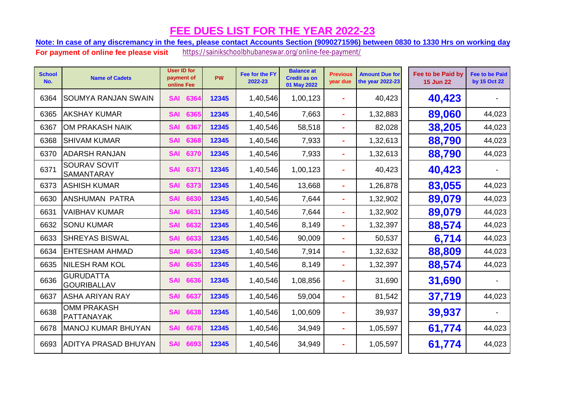Note: In case of any discremancy in the fees, please contact Accounts Section (9090271596) between 0830 to 1330 Hrs on working day

| <b>School</b><br>No. | <b>Name of Cadets</b>                    | <b>User ID for</b><br>payment of<br>online Fee | PW    | Fee for the FY<br>2022-23 | <b>Balance at</b><br><b>Credit as on</b><br>01 May 2022 | <b>Previous</b><br>year due | <b>Amount Due for</b><br>the year 2022-23 | Fee to be Paid by<br><b>15 Jun 22</b> | <b>Fee to be Paid</b><br>by 15 Oct 22 |
|----------------------|------------------------------------------|------------------------------------------------|-------|---------------------------|---------------------------------------------------------|-----------------------------|-------------------------------------------|---------------------------------------|---------------------------------------|
| 6364                 | <b>SOUMYA RANJAN SWAIN</b>               | <b>SAI</b><br>6364                             | 12345 | 1,40,546                  | 1,00,123                                                |                             | 40,423                                    | 40,423                                |                                       |
| 6365                 | <b>AKSHAY KUMAR</b>                      | <b>SAI</b><br>6365                             | 12345 | 1,40,546                  | 7,663                                                   | $\mathbf{r}$                | 1,32,883                                  | 89,060                                | 44,023                                |
| 6367                 | <b>OM PRAKASH NAIK</b>                   | <b>SAI</b><br>6367                             | 12345 | 1,40,546                  | 58,518                                                  | ÷                           | 82,028                                    | 38,205                                | 44,023                                |
| 6368                 | <b>SHIVAM KUMAR</b>                      | <b>SAI</b><br>6368                             | 12345 | 1,40,546                  | 7,933                                                   | $\blacksquare$              | 1,32,613                                  | 88,790                                | 44,023                                |
| 6370                 | <b>ADARSH RANJAN</b>                     | <b>SAI</b><br>6370                             | 12345 | 1,40,546                  | 7,933                                                   | $\sim$                      | 1,32,613                                  | 88,790                                | 44,023                                |
| 6371                 | <b>SOURAV SOVIT</b><br><b>SAMANTARAY</b> | 637<br><b>SAI</b>                              | 12345 | 1,40,546                  | 1,00,123                                                |                             | 40,423                                    | 40,423                                |                                       |
| 6373                 | <b>ASHISH KUMAR</b>                      | <b>SAI</b><br>637                              | 12345 | 1,40,546                  | 13,668                                                  |                             | 1,26,878                                  | 83,055                                | 44,023                                |
| 6630                 | <b>ANSHUMAN PATRA</b>                    | 6630<br><b>SAI</b>                             | 12345 | 1,40,546                  | 7,644                                                   | $\mathbf{r}$                | 1,32,902                                  | 89,079                                | 44,023                                |
| 6631                 | <b>VAIBHAV KUMAR</b>                     | <b>SAI</b><br>6631                             | 12345 | 1,40,546                  | 7,644                                                   | ÷                           | 1,32,902                                  | 89,079                                | 44,023                                |
| 6632                 | <b>SONU KUMAR</b>                        | <b>SAI</b><br>6632                             | 12345 | 1,40,546                  | 8,149                                                   | $\blacksquare$              | 1,32,397                                  | 88,574                                | 44,023                                |
| 6633                 | <b>SHREYAS BISWAL</b>                    | <b>SAI</b><br>6633                             | 12345 | 1,40,546                  | 90,009                                                  | $\blacksquare$              | 50,537                                    | 6,714                                 | 44,023                                |
| 6634                 | <b>EHTESHAM AHMAD</b>                    | 6634<br><b>SAI</b>                             | 12345 | 1,40,546                  | 7,914                                                   | $\tilde{\phantom{a}}$       | 1,32,632                                  | 88,809                                | 44,023                                |
| 6635                 | <b>NILESH RAM KOL</b>                    | <b>SAI</b><br>663                              | 12345 | 1,40,546                  | 8,149                                                   | $\blacksquare$              | 1,32,397                                  | 88,574                                | 44,023                                |
| 6636                 | <b>GURUDATTA</b><br><b>GOURIBALLAV</b>   | 6636<br><b>SAI</b>                             | 12345 | 1,40,546                  | 1,08,856                                                |                             | 31,690                                    | 31,690                                |                                       |
| 6637                 | <b>ASHA ARIYAN RAY</b>                   | <b>SAI</b><br>6637                             | 12345 | 1,40,546                  | 59,004                                                  |                             | 81,542                                    | 37,719                                | 44,023                                |
| 6638                 | <b>OMM PRAKASH</b><br><b>PATTANAYAK</b>  | 6638<br><b>SAI</b>                             | 12345 | 1,40,546                  | 1,00,609                                                |                             | 39,937                                    | 39,937                                |                                       |
| 6678                 | <b>MANOJ KUMAR BHUYAN</b>                | <b>SAI</b><br>6678                             | 12345 | 1,40,546                  | 34,949                                                  | $\blacksquare$              | 1,05,597                                  | 61,774                                | 44,023                                |
| 6693                 | <b>ADITYA PRASAD BHUYAN</b>              | <b>SAI</b><br>6693                             | 12345 | 1,40,546                  | 34,949                                                  |                             | 1,05,597                                  | 61,774                                | 44,023                                |